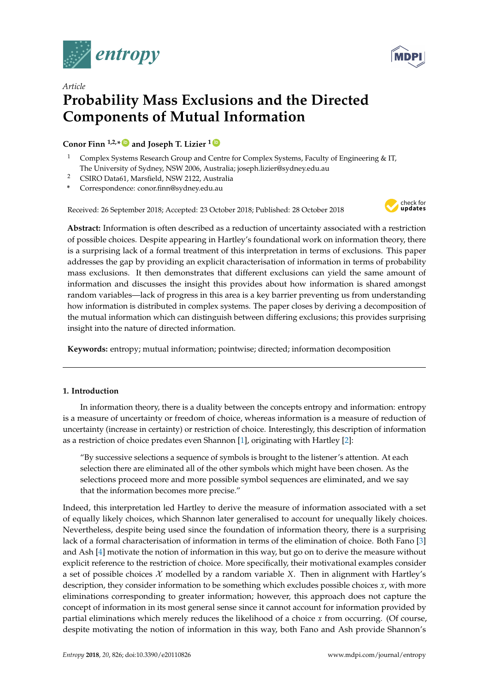



# *Article* **Probability Mass Exclusions and the Directed Components of Mutual Information**

**Conor Finn 1,2,\* [ID](https://orcid.org/0000-0001-8542-4205) and Joseph T. Lizier <sup>1</sup> [ID](https://orcid.org/0000-0002-9910-8972)**

- <sup>1</sup> Complex Systems Research Group and Centre for Complex Systems, Faculty of Engineering & IT, The University of Sydney, NSW 2006, Australia; joseph.lizier@sydney.edu.au
- <sup>2</sup> CSIRO Data61, Marsfield, NSW 2122, Australia
- **\*** Correspondence: conor.finn@sydney.edu.au

Received: 26 September 2018; Accepted: 23 October 2018; Published: 28 October 2018



**Abstract:** Information is often described as a reduction of uncertainty associated with a restriction of possible choices. Despite appearing in Hartley's foundational work on information theory, there is a surprising lack of a formal treatment of this interpretation in terms of exclusions. This paper addresses the gap by providing an explicit characterisation of information in terms of probability mass exclusions. It then demonstrates that different exclusions can yield the same amount of information and discusses the insight this provides about how information is shared amongst random variables—lack of progress in this area is a key barrier preventing us from understanding how information is distributed in complex systems. The paper closes by deriving a decomposition of the mutual information which can distinguish between differing exclusions; this provides surprising insight into the nature of directed information.

**Keywords:** entropy; mutual information; pointwise; directed; information decomposition

# **1. Introduction**

In information theory, there is a duality between the concepts entropy and information: entropy is a measure of uncertainty or freedom of choice, whereas information is a measure of reduction of uncertainty (increase in certainty) or restriction of choice. Interestingly, this description of information as a restriction of choice predates even Shannon [\[1\]](#page-12-0), originating with Hartley [\[2\]](#page-12-1):

"By successive selections a sequence of symbols is brought to the listener's attention. At each selection there are eliminated all of the other symbols which might have been chosen. As the selections proceed more and more possible symbol sequences are eliminated, and we say that the information becomes more precise."

Indeed, this interpretation led Hartley to derive the measure of information associated with a set of equally likely choices, which Shannon later generalised to account for unequally likely choices. Nevertheless, despite being used since the foundation of information theory, there is a surprising lack of a formal characterisation of information in terms of the elimination of choice. Both Fano [\[3\]](#page-12-2) and Ash [\[4\]](#page-12-3) motivate the notion of information in this way, but go on to derive the measure without explicit reference to the restriction of choice. More specifically, their motivational examples consider a set of possible choices  $\mathcal X$  modelled by a random variable  $X$ . Then in alignment with Hartley's description, they consider information to be something which excludes possible choices *x*, with more eliminations corresponding to greater information; however, this approach does not capture the concept of information in its most general sense since it cannot account for information provided by partial eliminations which merely reduces the likelihood of a choice *x* from occurring. (Of course, despite motivating the notion of information in this way, both Fano and Ash provide Shannon's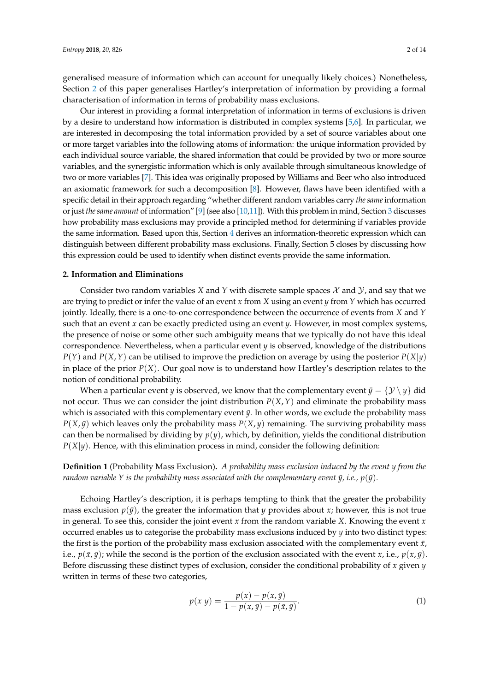generalised measure of information which can account for unequally likely choices.) Nonetheless, Section [2](#page-1-0) of this paper generalises Hartley's interpretation of information by providing a formal characterisation of information in terms of probability mass exclusions.

Our interest in providing a formal interpretation of information in terms of exclusions is driven by a desire to understand how information is distributed in complex systems [\[5](#page-12-4)[,6\]](#page-12-5). In particular, we are interested in decomposing the total information provided by a set of source variables about one or more target variables into the following atoms of information: the unique information provided by each individual source variable, the shared information that could be provided by two or more source variables, and the synergistic information which is only available through simultaneous knowledge of two or more variables [\[7\]](#page-12-6). This idea was originally proposed by Williams and Beer who also introduced an axiomatic framework for such a decomposition [\[8\]](#page-12-7). However, flaws have been identified with a specific detail in their approach regarding "whether different random variables carry *the same* information or just *the same amount* of information" [\[9\]](#page-12-8) (see also [\[10,](#page-13-0)[11\]](#page-13-1)). With this problem in mind, Section [3](#page-4-0) discusses how probability mass exclusions may provide a principled method for determining if variables provide the same information. Based upon this, Section [4](#page-4-1) derives an information-theoretic expression which can distinguish between different probability mass exclusions. Finally, Section 5 closes by discussing how this expression could be used to identify when distinct events provide the same information.

# <span id="page-1-0"></span>**2. Information and Eliminations**

Consider two random variables *X* and *Y* with discrete sample spaces  $\mathcal X$  and  $\mathcal Y$ , and say that we are trying to predict or infer the value of an event *x* from *X* using an event *y* from *Y* which has occurred jointly. Ideally, there is a one-to-one correspondence between the occurrence of events from *X* and *Y* such that an event *x* can be exactly predicted using an event *y*. However, in most complex systems, the presence of noise or some other such ambiguity means that we typically do not have this ideal correspondence. Nevertheless, when a particular event *y* is observed, knowledge of the distributions  $P(Y)$  and  $P(X, Y)$  can be utilised to improve the prediction on average by using the posterior  $P(X|y)$ in place of the prior *P*(*X*). Our goal now is to understand how Hartley's description relates to the notion of conditional probability.

When a particular event *y* is observed, we know that the complementary event  $\bar{y} = \{y \setminus y\}$  did not occur. Thus we can consider the joint distribution  $P(X, Y)$  and eliminate the probability mass which is associated with this complementary event  $\bar{y}$ . In other words, we exclude the probability mass  $P(X, \bar{y})$  which leaves only the probability mass  $P(X, y)$  remaining. The surviving probability mass can then be normalised by dividing by *p*(*y*), which, by definition, yields the conditional distribution *P*(*X*|*y*). Hence, with this elimination process in mind, consider the following definition:

# **Definition 1** (Probability Mass Exclusion)**.** *A probability mass exclusion induced by the event y from the random variable Y is the probability mass associated with the complementary event*  $\bar{y}$ *, <i>i.e.*,  $p(\bar{y})$ *.*

Echoing Hartley's description, it is perhaps tempting to think that the greater the probability mass exclusion  $p(\bar{y})$ , the greater the information that *y* provides about *x*; however, this is not true in general. To see this, consider the joint event *x* from the random variable *X*. Knowing the event *x* occurred enables us to categorise the probability mass exclusions induced by *y* into two distinct types: the first is the portion of the probability mass exclusion associated with the complementary event  $\bar{x}$ , i.e.,  $p(\bar{x}, \bar{y})$ ; while the second is the portion of the exclusion associated with the event *x*, i.e.,  $p(x, \bar{y})$ . Before discussing these distinct types of exclusion, consider the conditional probability of *x* given *y* written in terms of these two categories,

<span id="page-1-1"></span>
$$
p(x|y) = \frac{p(x) - p(x, \bar{y})}{1 - p(x, \bar{y}) - p(\bar{x}, \bar{y})}.
$$
 (1)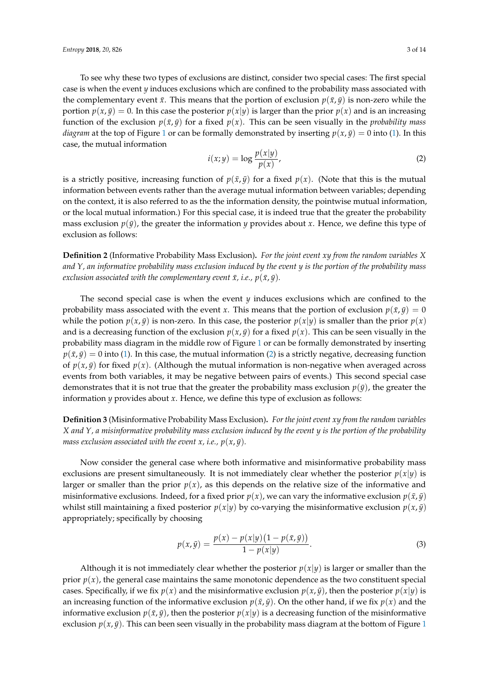To see why these two types of exclusions are distinct, consider two special cases: The first special case is when the event *y* induces exclusions which are confined to the probability mass associated with the complementary event  $\bar{x}$ . This means that the portion of exclusion  $p(\bar{x}, \bar{y})$  is non-zero while the portion  $p(x, \bar{y}) = 0$ . In this case the posterior  $p(x|y)$  is larger than the prior  $p(x)$  and is an increasing function of the exclusion  $p(\bar{x}, \bar{y})$  for a fixed  $p(x)$ . This can be seen visually in the *probability mass diagram* at the top of Figure [1](#page-3-0) or can be formally demonstrated by inserting  $p(x, \bar{y}) = 0$  into [\(1\)](#page-1-1). In this case, the mutual information

<span id="page-2-0"></span>
$$
i(x; y) = \log \frac{p(x|y)}{p(x)},
$$
\n(2)

is a strictly positive, increasing function of  $p(\bar{x}, \bar{y})$  for a fixed  $p(x)$ . (Note that this is the mutual information between events rather than the average mutual information between variables; depending on the context, it is also referred to as the the information density, the pointwise mutual information, or the local mutual information.) For this special case, it is indeed true that the greater the probability mass exclusion  $p(\bar{y})$ , the greater the information *y* provides about *x*. Hence, we define this type of exclusion as follows:

**Definition 2** (Informative Probability Mass Exclusion)**.** *For the joint event xy from the random variables X and Y, an informative probability mass exclusion induced by the event y is the portion of the probability mass exclusion associated with the complementary event*  $\bar{x}$ *, <i>i.e.*,  $p(\bar{x}, \bar{y})$ *.* 

The second special case is when the event *y* induces exclusions which are confined to the probability mass associated with the event *x*. This means that the portion of exclusion  $p(\bar{x}, \bar{y}) = 0$ while the potion  $p(x, \bar{y})$  is non-zero. In this case, the posterior  $p(x|y)$  is smaller than the prior  $p(x)$ and is a decreasing function of the exclusion  $p(x, \bar{y})$  for a fixed  $p(x)$ . This can be seen visually in the probability mass diagram in the middle row of Figure [1](#page-3-0) or can be formally demonstrated by inserting  $p(\bar{x}, \bar{y}) = 0$  into [\(1\)](#page-1-1). In this case, the mutual information [\(2\)](#page-2-0) is a strictly negative, decreasing function of  $p(x, \bar{y})$  for fixed  $p(x)$ . (Although the mutual information is non-negative when averaged across events from both variables, it may be negative between pairs of events.) This second special case demonstrates that it is not true that the greater the probability mass exclusion  $p(\bar{y})$ , the greater the information *y* provides about *x*. Hence, we define this type of exclusion as follows:

**Definition 3** (Misinformative Probability Mass Exclusion)**.** *For the joint event xy from the random variables X and Y, a misinformative probability mass exclusion induced by the event y is the portion of the probability mass exclusion associated with the event x, i.e.,*  $p(x, \bar{y})$ *.* 

Now consider the general case where both informative and misinformative probability mass exclusions are present simultaneously. It is not immediately clear whether the posterior  $p(x|y)$  is larger or smaller than the prior  $p(x)$ , as this depends on the relative size of the informative and misinformative exclusions. Indeed, for a fixed prior  $p(x)$ , we can vary the informative exclusion  $p(\bar{x}, \bar{y})$ whilst still maintaining a fixed posterior  $p(x|y)$  by co-varying the misinformative exclusion  $p(x, \bar{y})$ appropriately; specifically by choosing

<span id="page-2-1"></span>
$$
p(x,\bar{y}) = \frac{p(x) - p(x|y)(1 - p(\bar{x}, \bar{y}))}{1 - p(x|y)}.
$$
\n(3)

Although it is not immediately clear whether the posterior  $p(x|y)$  is larger or smaller than the prior  $p(x)$ , the general case maintains the same monotonic dependence as the two constituent special cases. Specifically, if we fix  $p(x)$  and the misinformative exclusion  $p(x, \bar{y})$ , then the posterior  $p(x|y)$  is an increasing function of the informative exclusion  $p(\bar{x}, \bar{y})$ . On the other hand, if we fix  $p(x)$  and the informative exclusion  $p(\bar{x}, \bar{y})$ , then the posterior  $p(x|y)$  is a decreasing function of the misinformative exclusion  $p(x, \bar{y})$ . This can been seen visually in the probability mass diagram at the bottom of Figure [1](#page-3-0)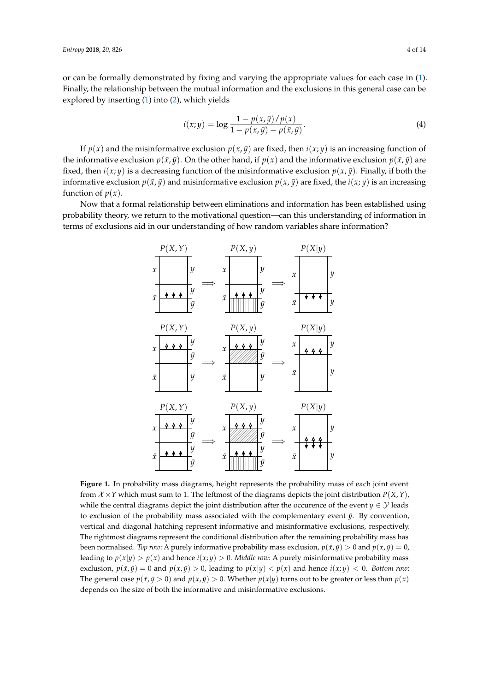or can be formally demonstrated by fixing and varying the appropriate values for each case in [\(1\)](#page-1-1). Finally, the relationship between the mutual information and the exclusions in this general case can be explored by inserting [\(1\)](#page-1-1) into [\(2\)](#page-2-0), which yields

<span id="page-3-1"></span>
$$
i(x; y) = \log \frac{1 - p(x, \bar{y}) / p(x)}{1 - p(x, \bar{y}) - p(\bar{x}, \bar{y})}.
$$
\n(4)

If  $p(x)$  and the misinformative exclusion  $p(x, \bar{y})$  are fixed, then  $i(x, y)$  is an increasing function of the informative exclusion  $p(\bar{x}, \bar{y})$ . On the other hand, if  $p(x)$  and the informative exclusion  $p(\bar{x}, \bar{y})$  are fixed, then  $i(x; y)$  is a decreasing function of the misinformative exclusion  $p(x, \bar{y})$ . Finally, if both the informative exclusion  $p(\bar{x}, \bar{y})$  and misinformative exclusion  $p(x, \bar{y})$  are fixed, the *i*(*x*; *y*) is an increasing function of  $p(x)$ .

<span id="page-3-0"></span>Now that a formal relationship between eliminations and information has been established using probability theory, we return to the motivational question—can this understanding of information in terms of exclusions aid in our understanding of how random variables share information?



**Figure 1.** In probability mass diagrams, height represents the probability mass of each joint event from  $X \times Y$  which must sum to 1. The leftmost of the diagrams depicts the joint distribution  $P(X, Y)$ , while the central diagrams depict the joint distribution after the occurence of the event *y*  $\in \mathcal{Y}$  leads to exclusion of the probability mass associated with the complementary event  $\bar{y}$ . By convention, vertical and diagonal hatching represent informative and misinformative exclusions, respectively. The rightmost diagrams represent the conditional distribution after the remaining probability mass has been normalised. *Top row*: A purely informative probability mass exclusion,  $p(\bar{x}, \bar{y}) > 0$  and  $p(x, \bar{y}) = 0$ , leading to  $p(x|y) > p(x)$  and hence  $i(x, y) > 0$ . *Middle row*: A purely misinformative probability mass exclusion,  $p(\bar{x}, \bar{y}) = 0$  and  $p(x, \bar{y}) > 0$ , leading to  $p(x|y) < p(x)$  and hence  $i(x, y) < 0$ . *Bottom row:* The general case  $p(\bar{x}, \bar{y} > 0)$  and  $p(x, \bar{y}) > 0$ . Whether  $p(x|y)$  turns out to be greater or less than  $p(x)$ depends on the size of both the informative and misinformative exclusions.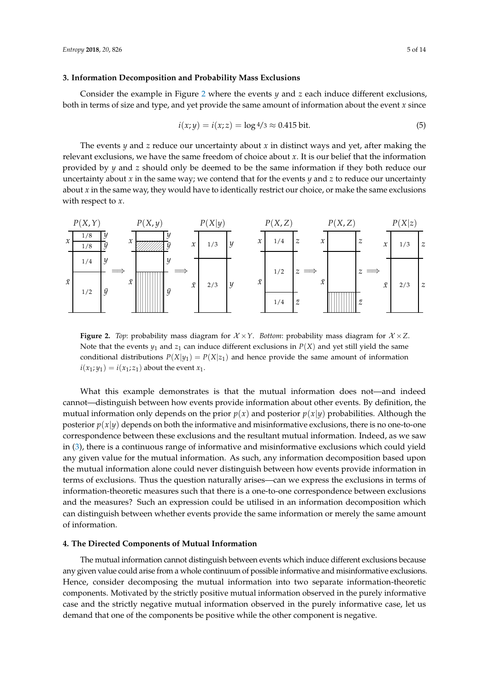#### <span id="page-4-0"></span>**3. Information Decomposition and Probability Mass Exclusions**

Consider the example in Figure [2](#page-4-2) where the events *y* and *z* each induce different exclusions, both in terms of size and type, and yet provide the same amount of information about the event *x* since

<span id="page-4-3"></span>
$$
i(x; y) = i(x; z) = \log 4/3 \approx 0.415 \text{ bit.}
$$
 (5)

The events *y* and *z* reduce our uncertainty about *x* in distinct ways and yet, after making the relevant exclusions, we have the same freedom of choice about *x*. It is our belief that the information provided by *y* and *z* should only be deemed to be the same information if they both reduce our uncertainty about *x* in the same way; we contend that for the events *y* and *z* to reduce our uncertainty about *x* in the same way, they would have to identically restrict our choice, or make the same exclusions with respect to *x*.

<span id="page-4-2"></span>

**Figure 2.** *Top*: probability mass diagram for  $\mathcal{X} \times \mathcal{Y}$ . *Bottom*: probability mass diagram for  $\mathcal{X} \times \mathcal{Z}$ . Note that the events  $y_1$  and  $z_1$  can induce different exclusions in  $P(X)$  and yet still yield the same conditional distributions  $P(X|y_1) = P(X|z_1)$  and hence provide the same amount of information  $i(x_1; y_1) = i(x_1; z_1)$  about the event  $x_1$ .

What this example demonstrates is that the mutual information does not—and indeed cannot—distinguish between how events provide information about other events. By definition, the mutual information only depends on the prior  $p(x)$  and posterior  $p(x|y)$  probabilities. Although the posterior  $p(x|y)$  depends on both the informative and misinformative exclusions, there is no one-to-one correspondence between these exclusions and the resultant mutual information. Indeed, as we saw in [\(3\)](#page-2-1), there is a continuous range of informative and misinformative exclusions which could yield any given value for the mutual information. As such, any information decomposition based upon the mutual information alone could never distinguish between how events provide information in terms of exclusions. Thus the question naturally arises—can we express the exclusions in terms of information-theoretic measures such that there is a one-to-one correspondence between exclusions and the measures? Such an expression could be utilised in an information decomposition which can distinguish between whether events provide the same information or merely the same amount of information.

# <span id="page-4-1"></span>**4. The Directed Components of Mutual Information**

The mutual information cannot distinguish between events which induce different exclusions because any given value could arise from a whole continuum of possible informative and misinformative exclusions. Hence, consider decomposing the mutual information into two separate information-theoretic components. Motivated by the strictly positive mutual information observed in the purely informative case and the strictly negative mutual information observed in the purely informative case, let us demand that one of the components be positive while the other component is negative.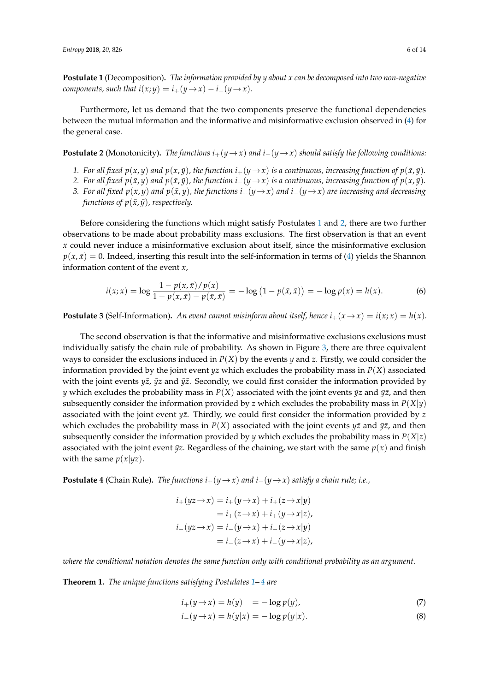<span id="page-5-0"></span>**Postulate 1** (Decomposition)**.** *The information provided by y about x can be decomposed into two non-negative components, such that*  $i(x; y) = i_+(y \to x) - i_-(y \to x)$ .

Furthermore, let us demand that the two components preserve the functional dependencies between the mutual information and the informative and misinformative exclusion observed in [\(4\)](#page-3-1) for the general case.

<span id="page-5-1"></span>**Postulate 2** (Monotonicity). *The functions*  $i_+(y \to x)$  *and*  $i_-(y \to x)$  *should satisfy the following conditions:* 

- *1.* For all fixed  $p(x, y)$  and  $p(x, \bar{y})$ , the function  $i_{+}(y \to x)$  is a continuous, increasing function of  $p(\bar{x}, \bar{y})$ .
- *2.* For all fixed  $p(\bar{x}, y)$  and  $p(\bar{x}, \bar{y})$ , the function  $i_-(y \to x)$  is a continuous, increasing function of  $p(x, \bar{y})$ .
- 3. For all fixed  $p(x, y)$  and  $p(\bar{x}, y)$ , the functions  $i_+(y \to x)$  and  $i_-(y \to x)$  are increasing and decreasing *functions of*  $p(\bar{x}, \bar{y})$ *, respectively.*

Before considering the functions which might satisfy Postulates [1](#page-5-0) and [2,](#page-5-1) there are two further observations to be made about probability mass exclusions. The first observation is that an event *x* could never induce a misinformative exclusion about itself, since the misinformative exclusion  $p(x, \bar{x}) = 0$ . Indeed, inserting this result into the self-information in terms of [\(4\)](#page-3-1) yields the Shannon information content of the event *x*,

$$
i(x; x) = \log \frac{1 - p(x, \bar{x})/p(x)}{1 - p(x, \bar{x}) - p(\bar{x}, \bar{x})} = -\log (1 - p(\bar{x}, \bar{x})) = -\log p(x) = h(x).
$$
 (6)

<span id="page-5-6"></span>**Postulate 3** (Self-Information). An event cannot misinform about itself, hence  $i_+(x \to x) = i(x; x) = h(x)$ .

The second observation is that the informative and misinformative exclusions exclusions must individually satisfy the chain rule of probability. As shown in Figure [3,](#page-6-0) there are three equivalent ways to consider the exclusions induced in  $P(X)$  by the events *y* and *z*. Firstly, we could consider the information provided by the joint event *yz* which excludes the probability mass in *P*(*X*) associated with the joint events *yz*, *yz* and *yz*. Secondly, we could first consider the information provided by *y* which excludes the probability mass in  $P(X)$  associated with the joint events  $\bar{y}z$  and  $\bar{y}\bar{z}$ , and then subsequently consider the information provided by *z* which excludes the probability mass in  $P(X|y)$ associated with the joint event *yz*. Thirdly, we could first consider the information provided by *z* which excludes the probability mass in  $P(X)$  associated with the joint events  $y\bar{z}$  and  $\bar{y}\bar{z}$ , and then subsequently consider the information provided by *y* which excludes the probability mass in  $P(X|z)$ associated with the joint event  $\bar{y}z$ . Regardless of the chaining, we start with the same  $p(x)$  and finish with the same  $p(x|yz)$ .

<span id="page-5-2"></span>**Postulate 4** (Chain Rule). *The functions*  $i_{+}(y \rightarrow x)$  *and*  $i_{-}(y \rightarrow x)$  *satisfy a chain rule; i.e.,* 

$$
i_{+}(yz \rightarrow x) = i_{+}(y \rightarrow x) + i_{+}(z \rightarrow x|y)
$$
  
=  $i_{+}(z \rightarrow x) + i_{+}(y \rightarrow x|z)$ ,  

$$
i_{-}(yz \rightarrow x) = i_{-}(y \rightarrow x) + i_{-}(z \rightarrow x|y)
$$
  
=  $i_{-}(z \rightarrow x) + i_{-}(y \rightarrow x|z)$ ,

*where the conditional notation denotes the same function only with conditional probability as an argument.*

<span id="page-5-5"></span>**Theorem 1.** *The unique functions satisfying Postulates [1–](#page-5-0) [4](#page-5-2) are*

$$
i_{+}(y \to x) = h(y) = -\log p(y), \tag{7}
$$

<span id="page-5-4"></span><span id="page-5-3"></span>
$$
i_{-}(y \to x) = h(y|x) = -\log p(y|x). \tag{8}
$$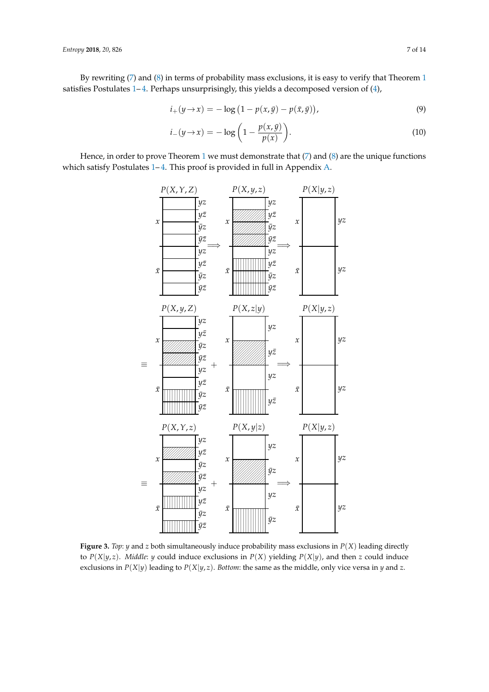By rewriting [\(7\)](#page-5-3) and [\(8\)](#page-5-4) in terms of probability mass exclusions, it is easy to verify that Theorem [1](#page-5-5) satisfies Postulates 1-[4.](#page-5-2) Perhaps unsurprisingly, this yields a decomposed version of [\(4\)](#page-3-1),

$$
i_{+}(y \to x) = -\log(1 - p(x, \bar{y}) - p(\bar{x}, \bar{y})), \tag{9}
$$

<span id="page-6-2"></span><span id="page-6-1"></span>
$$
i_{-}(y \to x) = -\log\left(1 - \frac{p(x,\bar{y})}{p(x)}\right). \tag{10}
$$

<span id="page-6-0"></span>Hence, in order to prove Theorem [1](#page-5-5) we must demonstrate that  $(7)$  and  $(8)$  are the unique functions which satisfy Postulates 1-[4.](#page-5-2) This proof is provided in full in Appendix [A.](#page-8-0)



**Figure 3.** *Top*: *y* and *z* both simultaneously induce probability mass exclusions in  $P(X)$  leading directly to  $P(X|y, z)$ . *Middle: y* could induce exclusions in  $P(X)$  yielding  $P(X|y)$ , and then *z* could induce exclusions in  $P(X|y)$  leading to  $P(X|y, z)$ . *Bottom*: the same as the middle, only vice versa in *y* and *z*.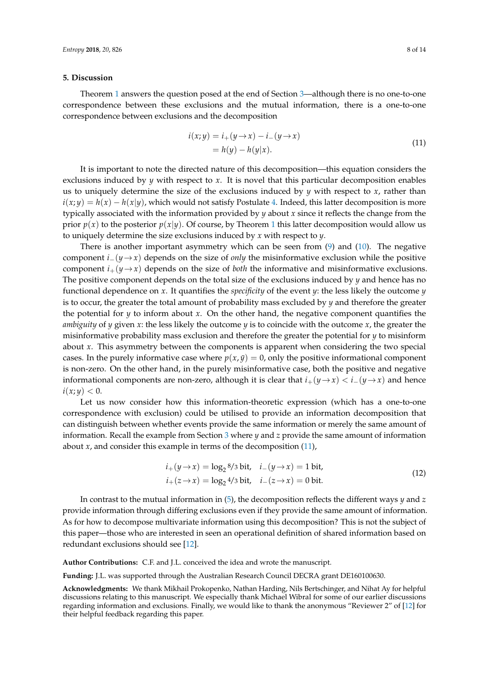# **5. Discussion**

Theorem [1](#page-5-5) answers the question posed at the end of Section [3—](#page-4-0)although there is no one-to-one correspondence between these exclusions and the mutual information, there is a one-to-one correspondence between exclusions and the decomposition

<span id="page-7-0"></span>
$$
i(x; y) = i_{+}(y \rightarrow x) - i_{-}(y \rightarrow x)
$$
  
=  $h(y) - h(y|x)$ . (11)

It is important to note the directed nature of this decomposition—this equation considers the exclusions induced by *y* with respect to *x*. It is novel that this particular decomposition enables us to uniquely determine the size of the exclusions induced by *y* with respect to *x*, rather than  $i(x; y) = h(x) - h(x|y)$ , which would not satisfy Postulate [4.](#page-5-2) Indeed, this latter decomposition is more typically associated with the information provided by *y* about *x* since it reflects the change from the prior  $p(x)$  to the posterior  $p(x|y)$ . Of course, by Theorem [1](#page-5-5) this latter decomposition would allow us to uniquely determine the size exclusions induced by *x* with respect to *y*.

There is another important asymmetry which can be seen from  $(9)$  and  $(10)$ . The negative component *i*−( $y \rightarrow x$ ) depends on the size of *only* the misinformative exclusion while the positive component  $i_{+}(\gamma \rightarrow x)$  depends on the size of *both* the informative and misinformative exclusions. The positive component depends on the total size of the exclusions induced by *y* and hence has no functional dependence on *x*. It quantifies the *specificity* of the event *y*: the less likely the outcome *y* is to occur, the greater the total amount of probability mass excluded by *y* and therefore the greater the potential for  $\gamma$  to inform about  $\chi$ . On the other hand, the negative component quantifies the *ambiguity* of *y* given *x*: the less likely the outcome *y* is to coincide with the outcome *x*, the greater the misinformative probability mass exclusion and therefore the greater the potential for *y* to misinform about *x*. This asymmetry between the components is apparent when considering the two special cases. In the purely informative case where  $p(x, \bar{y}) = 0$ , only the positive informational component is non-zero. On the other hand, in the purely misinformative case, both the positive and negative informational components are non-zero, although it is clear that  $i_{+}(y \rightarrow x) < i_{-}(y \rightarrow x)$  and hence  $i(x; y) < 0.$ 

Let us now consider how this information-theoretic expression (which has a one-to-one correspondence with exclusion) could be utilised to provide an information decomposition that can distinguish between whether events provide the same information or merely the same amount of information. Recall the example from Section [3](#page-4-0) where *y* and *z* provide the same amount of information about  $x$ , and consider this example in terms of the decomposition  $(11)$ ,

$$
i_{+}(y \to x) = \log_{2} 8/3 \text{ bit}, \quad i_{-}(y \to x) = 1 \text{ bit},
$$
  
\n
$$
i_{+}(z \to x) = \log_{2} 4/3 \text{ bit}, \quad i_{-}(z \to x) = 0 \text{ bit}.
$$
\n(12)

In contrast to the mutual information in [\(5\)](#page-4-3), the decomposition reflects the different ways *y* and *z* provide information through differing exclusions even if they provide the same amount of information. As for how to decompose multivariate information using this decomposition? This is not the subject of this paper—those who are interested in seen an operational definition of shared information based on redundant exclusions should see [\[12\]](#page-13-2).

**Author Contributions:** C.F. and J.L. conceived the idea and wrote the manuscript.

**Funding:** J.L. was supported through the Australian Research Council DECRA grant DE160100630.

**Acknowledgments:** We thank Mikhail Prokopenko, Nathan Harding, Nils Bertschinger, and Nihat Ay for helpful discussions relating to this manuscript. We especially thank Michael Wibral for some of our earlier discussions regarding information and exclusions. Finally, we would like to thank the anonymous "Reviewer 2" of [\[12\]](#page-13-2) for their helpful feedback regarding this paper.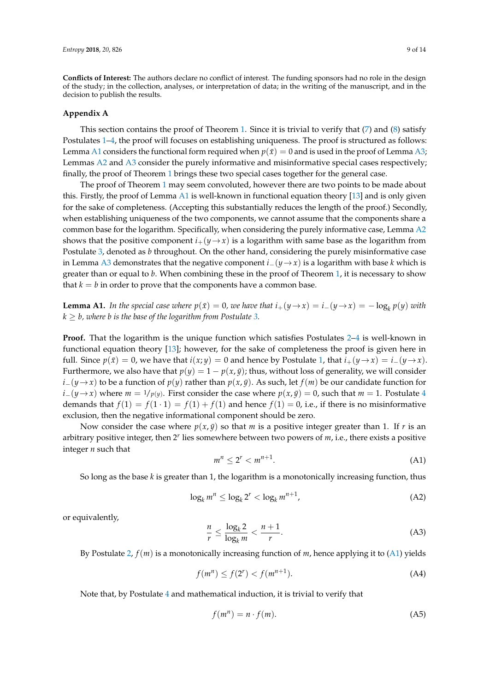**Conflicts of Interest:** The authors declare no conflict of interest. The funding sponsors had no role in the design of the study; in the collection, analyses, or interpretation of data; in the writing of the manuscript, and in the decision to publish the results.

# <span id="page-8-0"></span>**Appendix A**

This section contains the proof of Theorem [1.](#page-5-5) Since it is trivial to verify that  $(7)$  and  $(8)$  satisfy Postulates [1–](#page-5-0)[4,](#page-5-2) the proof will focuses on establishing uniqueness. The proof is structured as follows: Lemma [A1](#page-8-1) considers the functional form required when  $p(\bar{x}) = 0$  and is used in the proof of Lemma [A3;](#page-10-0) Lemmas [A2](#page-9-0) and [A3](#page-10-0) consider the purely informative and misinformative special cases respectively; finally, the proof of Theorem [1](#page-5-5) brings these two special cases together for the general case.

The proof of Theorem [1](#page-5-5) may seem convoluted, however there are two points to be made about this. Firstly, the proof of Lemma [A1](#page-8-1) is well-known in functional equation theory [\[13\]](#page-13-3) and is only given for the sake of completeness. (Accepting this substantially reduces the length of the proof.) Secondly, when establishing uniqueness of the two components, we cannot assume that the components share a common base for the logarithm. Specifically, when considering the purely informative case, Lemma [A2](#page-9-0) shows that the positive component  $i_+(y \rightarrow x)$  is a logarithm with same base as the logarithm from Postulate [3,](#page-5-6) denoted as *b* throughout. On the other hand, considering the purely misinformative case in Lemma [A3](#page-10-0) demonstrates that the negative component *i*−(*y*→*x*) is a logarithm with base *k* which is greater than or equal to *b*. When combining these in the proof of Theorem [1,](#page-5-5) it is necessary to show that  $k = b$  in order to prove that the components have a common base.

<span id="page-8-1"></span>**Lemma A1.** In the special case where  $p(\bar{x}) = 0$ , we have that  $i_+(y \to x) = i_-(y \to x) = -\log_k p(y)$  with  $k \geq b$ , where *b* is the base of the logarithm from Postulate [3.](#page-5-6)

**Proof.** That the logarithm is the unique function which satisfies Postulates [2–](#page-5-1)[4](#page-5-2) is well-known in functional equation theory [\[13\]](#page-13-3); however, for the sake of completeness the proof is given here in full. Since  $p(\bar{x}) = 0$ , we have that  $i(x; y) = 0$  and hence by Postulate [1,](#page-5-0) that  $i_+(y \to x) = i_-(y \to x)$ . Furthermore, we also have that  $p(y) = 1 - p(x, \bar{y})$ ; thus, without loss of generality, we will consider *i*−(*y*→*x*) to be a function of *p*(*y*) rather than *p*(*x*, *y*̄). As such, let *f*(*m*) be our candidate function for  $i-(y \rightarrow x)$  where  $m = 1/p(y)$ . First consider the case where  $p(x, \bar{y}) = 0$ , such that  $m = 1$ . Postulate [4](#page-5-2) demands that  $f(1) = f(1 \cdot 1) = f(1) + f(1)$  and hence  $f(1) = 0$ , i.e., if there is no misinformative exclusion, then the negative informational component should be zero.

Now consider the case where  $p(x, \bar{y})$  so that *m* is a positive integer greater than 1. If *r* is an arbitrary positive integer, then 2<sup>*r*</sup> lies somewhere between two powers of *m*, i.e., there exists a positive integer *n* such that

<span id="page-8-2"></span>
$$
m^n \le 2^r < m^{n+1}.\tag{A1}
$$

So long as the base *k* is greater than 1, the logarithm is a monotonically increasing function, thus

$$
\log_k m^n \le \log_k 2^r < \log_k m^{n+1},\tag{A2}
$$

or equivalently,

<span id="page-8-5"></span>
$$
\frac{n}{r} \le \frac{\log_k 2}{\log_k m} < \frac{n+1}{r}.\tag{A3}
$$

By Postulate [2,](#page-5-1) *f*(*m*) is a monotonically increasing function of *m*, hence applying it to [\(A1\)](#page-8-2) yields

<span id="page-8-3"></span>
$$
f(m^n) \le f(2^r) < f(m^{n+1}).\tag{A4}
$$

Note that, by Postulate [4](#page-5-2) and mathematical induction, it is trivial to verify that

<span id="page-8-4"></span>
$$
f(m^n) = n \cdot f(m). \tag{A5}
$$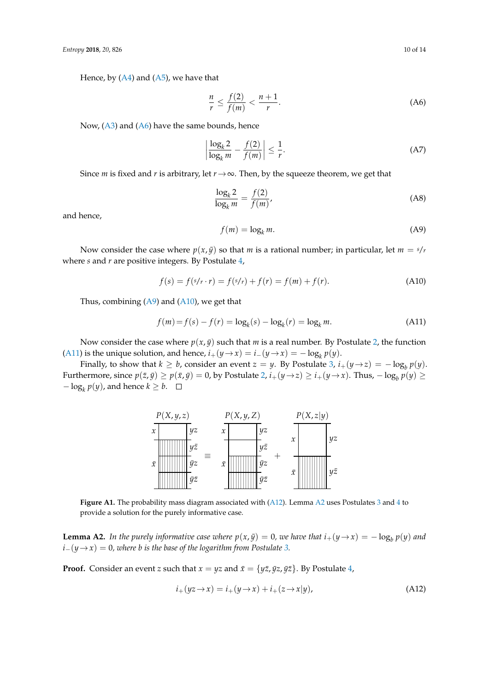Hence, by  $(A4)$  and  $(A5)$ , we have that

<span id="page-9-1"></span>
$$
\frac{n}{r} \le \frac{f(2)}{f(m)} < \frac{n+1}{r}.\tag{A6}
$$

Now, [\(A3\)](#page-8-5) and [\(A6\)](#page-9-1) have the same bounds, hence

$$
\left|\frac{\log_k 2}{\log_k m} - \frac{f(2)}{f(m)}\right| \le \frac{1}{r}.\tag{A7}
$$

Since *m* is fixed and *r* is arbitrary, let  $r \rightarrow \infty$ . Then, by the squeeze theorem, we get that

$$
\frac{\log_k 2}{\log_k m} = \frac{f(2)}{f(m)},
$$
\n(A8)

and hence,

<span id="page-9-2"></span>
$$
f(m) = \log_k m. \tag{A9}
$$

Now consider the case where  $p(x, \bar{y})$  so that *m* is a rational number; in particular, let  $m = s/r$ where *s* and *r* are positive integers. By Postulate [4,](#page-5-2)

<span id="page-9-3"></span>
$$
f(s) = f(s/r \cdot r) = f(s/r) + f(r) = f(m) + f(r).
$$
 (A10)

Thus, combining  $(A9)$  and  $(A10)$ , we get that

<span id="page-9-4"></span>
$$
f(m) = f(s) - f(r) = \log_k(s) - \log_k(r) = \log_k m.
$$
 (A11)

Now consider the case where  $p(x, \bar{y})$  such that *m* is a real number. By Postulate [2,](#page-5-1) the function [\(A11\)](#page-9-4) is the unique solution, and hence,  $i_+(y \to x) = i_-(y \to x) = -\log_k p(y)$ .

Finally, to show that  $k \geq b$ , consider an event  $z = y$ . By Postulate [3,](#page-5-6)  $i_+(y \rightarrow z) = -\log_b p(y)$ . Furthermore, since  $p(\bar{z}, \bar{y}) \ge p(\bar{x}, \bar{y}) = 0$ , by Postulate [2,](#page-5-1)  $i_+(y \to z) \ge i_+(y \to x)$ . Thus,  $-\log_b p(y) \ge$  $-\log_k p(y)$ , and hence  $k \geq b$ .



**Figure A1.** The probability mass diagram associated with [\(A12\)](#page-9-5). Lemma [A2](#page-9-0) uses Postulates [3](#page-5-6) and [4](#page-5-2) to provide a solution for the purely informative case.

<span id="page-9-0"></span>**Lemma A2.** In the purely informative case where  $p(x, \bar{y}) = 0$ , we have that  $i_+(y \to x) = -\log_b p(y)$  and  $i-(y \rightarrow x) = 0$ , where *b* is the base of the logarithm from Postulate [3.](#page-5-6)

**Proof.** Consider an event *z* such that  $x = yz$  and  $\bar{x} = \{y\bar{z}, \bar{y}z, \bar{y}\bar{z}\}$ . By Postulate [4,](#page-5-2)

<span id="page-9-5"></span>
$$
i_{+}(yz \rightarrow x) = i_{+}(y \rightarrow x) + i_{+}(z \rightarrow x|y), \qquad (A12)
$$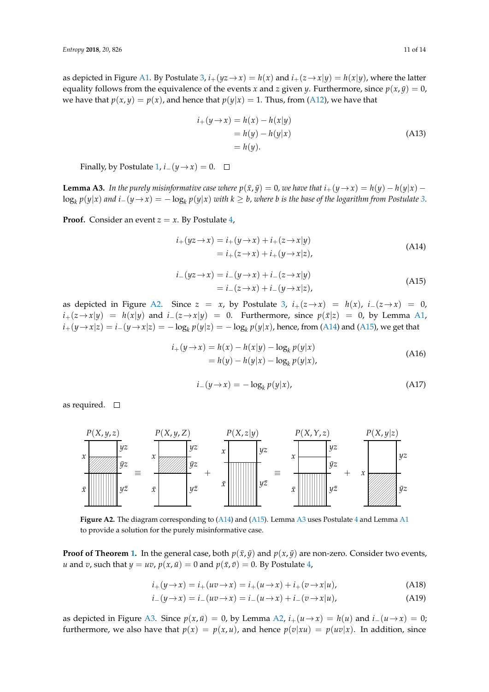as depicted in Figure [A1.](#page-3-0) By Postulate [3,](#page-5-6)  $i_+(yz \to x) = h(x)$  and  $i_+(z \to x|y) = h(x|y)$ , where the latter equality follows from the equivalence of the events *x* and *z* given *y*. Furthermore, since  $p(x, \bar{y}) = 0$ , we have that  $p(x, y) = p(x)$ , and hence that  $p(y|x) = 1$ . Thus, from [\(A12\)](#page-9-5), we have that

$$
i_{+}(y \rightarrow x) = h(x) - h(x|y)
$$
  
= h(y) - h(y|x)  
= h(y). (A13)

Finally, by Postulate [1,](#page-5-0)  $i_-(\psi \rightarrow x) = 0$ .  $\Box$ 

<span id="page-10-0"></span>**Lemma A3.** In the purely misinformative case where  $p(\bar{x}, \bar{y}) = 0$ , we have that  $i_+(y \to x) = h(y) - h(y|x) - h(y|x)$  $\log_k p(y|x)$  and  $i_-(y \to x) = -\log_k p(y|x)$  with  $k \ge b$ , where b is the base of the logarithm from Postulate [3.](#page-5-6)

**Proof.** Consider an event  $z = x$ . By Postulate [4,](#page-5-2)

<span id="page-10-1"></span>
$$
i_+(yz \to x) = i_+(y \to x) + i_+(z \to x|y)
$$
  
=  $i_+(z \to x) + i_+(y \to x|z)$ , (A14)

<span id="page-10-2"></span>
$$
i_{-}(yz \to x) = i_{-}(y \to x) + i_{-}(z \to x|y)
$$
  
=  $i_{-}(z \to x) + i_{-}(y \to x|z)$ , (A15)

as depicted in Figure [A2.](#page-4-2) Since  $z = x$ , by Postulate [3,](#page-5-6)  $i_+(z \to x) = h(x)$ ,  $i_-(z \to x) = 0$ , *i*+( $z \rightarrow x|y$ ) = *h*( $x|y$ ) and *i*−( $z \rightarrow x|y$ ) = 0. Furthermore, since  $p(\bar{x}|z)$  = 0, by Lemma [A1,](#page-8-1)  $i_+(y \to x|z) = i_-(y \to x|z) = -\log_k p(y|z) = -\log_k p(y|x)$ , hence, from [\(A14\)](#page-10-1) and [\(A15\)](#page-10-2), we get that

$$
i_{+}(y \rightarrow x) = h(x) - h(x|y) - \log_{k} p(y|x)
$$
  
=  $h(y) - h(y|x) - \log_{k} p(y|x)$ , (A16)

$$
i_{-}(y \to x) = -\log_{k} p(y|x), \tag{A17}
$$

as required.  $\square$ 



**Figure A2.** The diagram corresponding to [\(A14\)](#page-10-1) and [\(A15\)](#page-10-2). Lemma [A3](#page-10-0) uses Postulate [4](#page-5-2) and Lemma [A1](#page-8-1) to provide a solution for the purely misinformative case.

**Proof of Theorem [1.](#page-5-5)** In the general case, both  $p(\bar{x}, \bar{y})$  and  $p(x, \bar{y})$  are non-zero. Consider two events, *u* and *v*, such that  $y = uv$ ,  $p(x, \bar{u}) = 0$  and  $p(\bar{x}, \bar{v}) = 0$ . By Postulate [4,](#page-5-2)

<span id="page-10-3"></span>
$$
i_{+}(y \rightarrow x) = i_{+}(uv \rightarrow x) = i_{+}(u \rightarrow x) + i_{+}(v \rightarrow x|u), \tag{A18}
$$

<span id="page-10-4"></span>
$$
i_{-}(y \to x) = i_{-}(uv \to x) = i_{-}(u \to x) + i_{-}(v \to x|u), \tag{A19}
$$

as depicted in Figure [A3.](#page-6-0) Since  $p(x, \bar{u}) = 0$ , by Lemma [A2,](#page-9-0)  $i_{+}(u \rightarrow x) = h(u)$  and  $i_{-}(u \rightarrow x) = 0$ ; furthermore, we also have that  $p(x) = p(x, u)$ , and hence  $p(v|xu) = p(uv|x)$ . In addition, since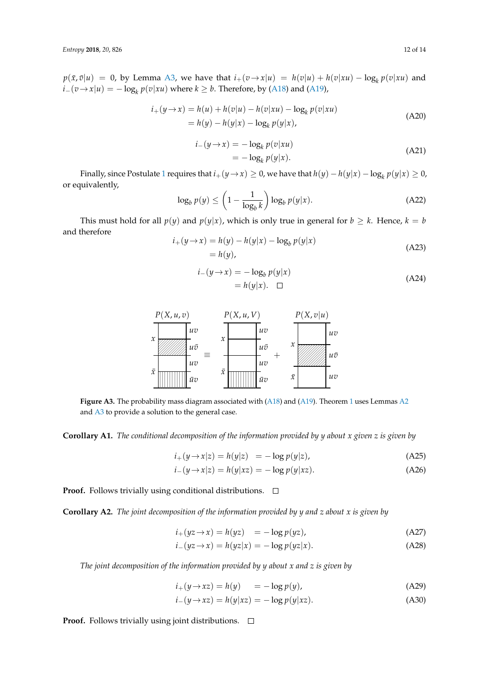$p(\bar{x}, \bar{v}|u) = 0$ , by Lemma [A3,](#page-10-0) we have that  $i_+(v \to x|u) = h(v|u) + h(v|xu) - \log_k p(v|xu)$  and *i*−( $v \rightarrow x|u$ ) = − log<sub>*k*</sub>  $p(v|xu)$  where  $k \geq b$ . Therefore, by [\(A18\)](#page-10-3) and [\(A19\)](#page-10-4),

$$
i_{+}(y \to x) = h(u) + h(v|u) - h(v|xu) - \log_{k} p(v|xu)
$$
  
=  $h(y) - h(y|x) - \log_{k} p(y|x)$ , (A20)

$$
i_{-}(y \to x) = -\log_{k} p(v|xu)
$$
  
=  $-\log_{k} p(y|x).$  (A21)

Finally, since Postulate [1](#page-5-0) requires that  $i_+(y \to x) \ge 0$ , we have that  $h(y) - h(y|x) - \log_k p(y|x) \ge 0$ , or equivalently,

$$
\log_b p(y) \le \left(1 - \frac{1}{\log_b k}\right) \log_b p(y|x). \tag{A22}
$$

This must hold for all  $p(y)$  and  $p(y|x)$ , which is only true in general for  $b \ge k$ . Hence,  $k = b$ and therefore

$$
i_{+}(y \rightarrow x) = h(y) - h(y|x) - \log_b p(y|x)
$$
  
= h(y), (A23)

$$
i_{-}(y \to x) = -\log_b p(y|x)
$$
  
=  $h(y|x)$ .  $\Box$  (A24)



Figure A3. The probability mass diagram associated with [\(A18\)](#page-10-3) and [\(A19\)](#page-10-4). Theorem [1](#page-5-5) uses Lemmas [A2](#page-9-0) and [A3](#page-10-0) to provide a solution to the general case.

**Corollary A1.** *The conditional decomposition of the information provided by y about x given z is given by*

$$
i_{+}(y \rightarrow x|z) = h(y|z) = -\log p(y|z), \qquad (A25)
$$

<span id="page-11-1"></span><span id="page-11-0"></span>
$$
i_{-}(y \rightarrow x|z) = h(y|xz) = -\log p(y|xz).
$$
 (A26)

**Proof.** Follows trivially using conditional distributions.  $\Box$ 

**Corollary A2.** *The joint decomposition of the information provided by y and z about x is given by*

$$
i_{+}(yz \to x) = h(yz) = -\log p(yz), \qquad (A27)
$$

$$
i_{-}(yz \to x) = h(yz|x) = -\log p(yz|x). \tag{A28}
$$

*The joint decomposition of the information provided by y about x and z is given by*

<span id="page-11-3"></span><span id="page-11-2"></span>
$$
i_{+}(y \to xz) = h(y) = -\log p(y), \tag{A29}
$$

$$
i_{-}(y \to xz) = h(y|xz) = -\log p(y|xz). \tag{A30}
$$

**Proof.** Follows trivially using joint distributions. □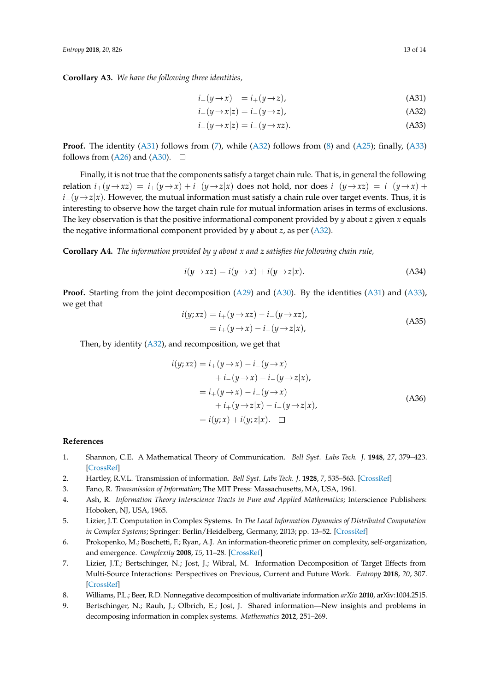**Corollary A3.** *We have the following three identities,*

<span id="page-12-10"></span><span id="page-12-9"></span>
$$
i_{+}(y \to x) = i_{+}(y \to z), \tag{A31}
$$

$$
i_{+}(y \to x|z) = i_{-}(y \to z), \tag{A32}
$$

<span id="page-12-11"></span>
$$
i_{-}(y \to x|z) = i_{-}(y \to xz). \tag{A33}
$$

**Proof.** The identity [\(A31\)](#page-12-9) follows from [\(7\)](#page-5-3), while [\(A32\)](#page-12-10) follows from [\(8\)](#page-5-4) and [\(A25\)](#page-11-0); finally, [\(A33\)](#page-12-11) follows from [\(A26\)](#page-11-1) and [\(A30\)](#page-11-2).  $\Box$ 

Finally, it is not true that the components satisfy a target chain rule. That is, in general the following relation  $i_+(y\to xz) = i_+(y\to x) + i_+(y\to z|x)$  does not hold, nor does  $i_-(y\to xz) = i_-(y\to x) + i_+(y\to z)$  $i-(\gamma\rightarrow z|x)$ . However, the mutual information must satisfy a chain rule over target events. Thus, it is interesting to observe how the target chain rule for mutual information arises in terms of exclusions. The key observation is that the positive informational component provided by *y* about *z* given *x* equals the negative informational component provided by *y* about *z*, as per [\(A32\)](#page-12-10).

**Corollary A4.** *The information provided by y about x and z satisfies the following chain rule,*

$$
i(y \to xz) = i(y \to x) + i(y \to z|x). \tag{A34}
$$

**Proof.** Starting from the joint decomposition [\(A29\)](#page-11-3) and [\(A30\)](#page-11-2). By the identities [\(A31\)](#page-12-9) and [\(A33\)](#page-12-11), we get that

$$
i(y; xz) = i_{+}(y \rightarrow xz) - i_{-}(y \rightarrow xz),
$$
  
=  $i_{+}(y \rightarrow x) - i_{-}(y \rightarrow z|x),$  (A35)

Then, by identity  $(A32)$ , and recomposition, we get that

$$
i(y; xz) = i_{+}(y \rightarrow x) - i_{-}(y \rightarrow x)
$$
  
+ 
$$
i_{-}(y \rightarrow x) - i_{-}(y \rightarrow z|x),
$$
  
= 
$$
i_{+}(y \rightarrow x) - i_{-}(y \rightarrow x)
$$
  
+ 
$$
i_{+}(y \rightarrow z|x) - i_{-}(y \rightarrow z|x),
$$
  
= 
$$
i(y; x) + i(y; z|x). \square
$$
 (A36)

## **References**

- <span id="page-12-0"></span>1. Shannon, C.E. A Mathematical Theory of Communication. *Bell Syst. Labs Tech. J.* **1948**, *27*, 379–423. [\[CrossRef\]](http://dx.doi.org/10.1002/j.1538-7305.1948.tb01338.x)
- <span id="page-12-1"></span>2. Hartley, R.V.L. Transmission of information. *Bell Syst. Labs Tech. J.* **1928**, *7*, 535–563. [\[CrossRef\]](http://dx.doi.org/10.1002/j.1538-7305.1928.tb01236.x)
- <span id="page-12-2"></span>3. Fano, R. *Transmission of Information*; The MIT Press: Massachusetts, MA, USA, 1961.
- <span id="page-12-3"></span>4. Ash, R. *Information Theory Interscience Tracts in Pure and Applied Mathematics*; Interscience Publishers: Hoboken, NJ, USA, 1965.
- <span id="page-12-4"></span>5. Lizier, J.T. Computation in Complex Systems. In *The Local Information Dynamics of Distributed Computation in Complex Systems*; Springer: Berlin/Heidelberg, Germany, 2013; pp. 13–52. [\[CrossRef\]](http://dx.doi.org/10.1007/978-3-642-32952-4_2)
- <span id="page-12-5"></span>6. Prokopenko, M.; Boschetti, F.; Ryan, A.J. An information-theoretic primer on complexity, self-organization, and emergence. *Complexity* **2008**, *15*, 11–28. [\[CrossRef\]](http://dx.doi.org/10.1002/cplx.20249)
- <span id="page-12-6"></span>7. Lizier, J.T.; Bertschinger, N.; Jost, J.; Wibral, M. Information Decomposition of Target Effects from Multi-Source Interactions: Perspectives on Previous, Current and Future Work. *Entropy* **2018**, *20*, 307. [\[CrossRef\]](http://dx.doi.org/10.3390/e20040307)
- <span id="page-12-7"></span>8. Williams, P.L.; Beer, R.D. Nonnegative decomposition of multivariate information *arXiv* **2010**, arXiv:1004.2515.
- <span id="page-12-8"></span>9. Bertschinger, N.; Rauh, J.; Olbrich, E.; Jost, J. Shared information—New insights and problems in decomposing information in complex systems. *Mathematics* **2012**, 251–269.